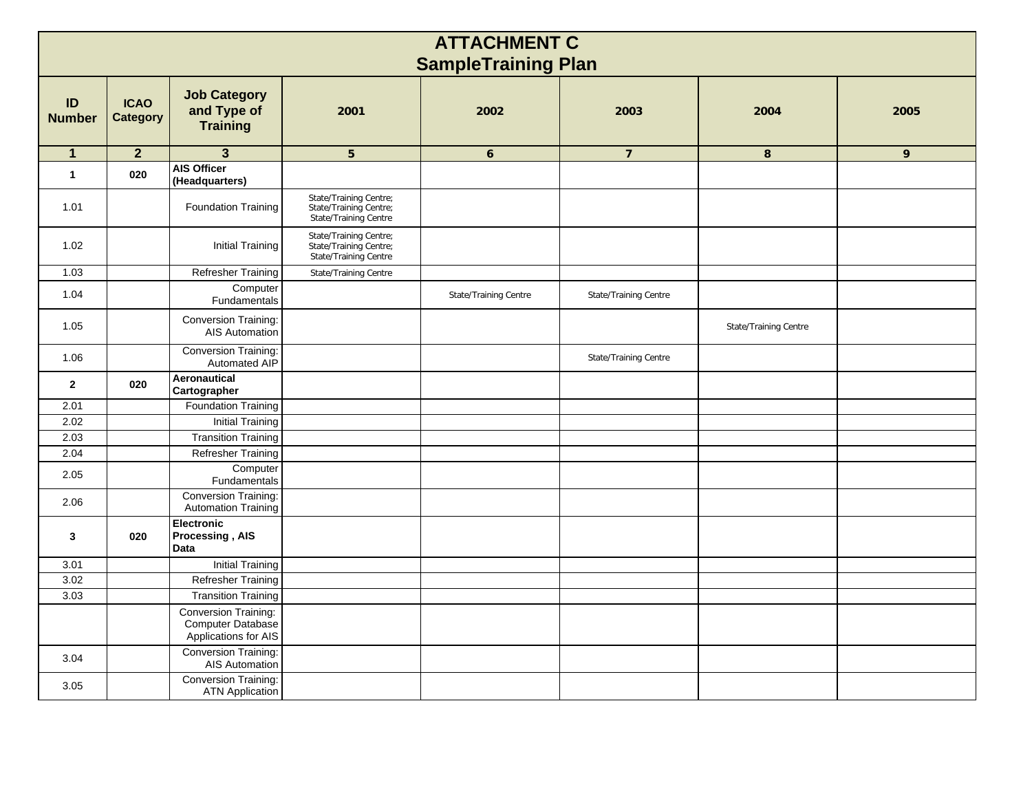| <b>ATTACHMENT C</b><br><b>SampleTraining Plan</b> |                                |                                                                   |                                                                           |                       |                       |                       |      |  |  |  |  |  |  |
|---------------------------------------------------|--------------------------------|-------------------------------------------------------------------|---------------------------------------------------------------------------|-----------------------|-----------------------|-----------------------|------|--|--|--|--|--|--|
| ID<br><b>Number</b>                               | <b>ICAO</b><br><b>Category</b> | <b>Job Category</b><br>and Type of<br><b>Training</b>             | 2001                                                                      | 2002                  | 2003                  | 2004                  | 2005 |  |  |  |  |  |  |
| $\mathbf 1$                                       | $\overline{2}$                 | $\overline{\mathbf{3}}$                                           | 5                                                                         | $\boldsymbol{6}$      | $\overline{7}$        | $\bf 8$               | 9    |  |  |  |  |  |  |
| $\mathbf{1}$                                      | 020                            | <b>AIS Officer</b><br>(Headquarters)                              |                                                                           |                       |                       |                       |      |  |  |  |  |  |  |
| 1.01                                              |                                | Foundation Training                                               | State/Training Centre;<br>State/Training Centre;<br>State/Training Centre |                       |                       |                       |      |  |  |  |  |  |  |
| 1.02                                              |                                | Initial Training                                                  | State/Training Centre;<br>State/Training Centre;<br>State/Training Centre |                       |                       |                       |      |  |  |  |  |  |  |
| 1.03                                              |                                | Refresher Training                                                | State/Training Centre                                                     |                       |                       |                       |      |  |  |  |  |  |  |
| 1.04                                              |                                | Computer<br>Fundamentals                                          |                                                                           | State/Training Centre | State/Training Centre |                       |      |  |  |  |  |  |  |
| 1.05                                              |                                | <b>Conversion Training:</b><br>AIS Automation                     |                                                                           |                       |                       | State/Training Centre |      |  |  |  |  |  |  |
| 1.06                                              |                                | Conversion Training:<br>Automated AIP                             |                                                                           |                       | State/Training Centre |                       |      |  |  |  |  |  |  |
| $\mathbf{2}$                                      | 020                            | Aeronautical<br>Cartographer                                      |                                                                           |                       |                       |                       |      |  |  |  |  |  |  |
| 2.01                                              |                                | <b>Foundation Training</b>                                        |                                                                           |                       |                       |                       |      |  |  |  |  |  |  |
| 2.02                                              |                                | <b>Initial Training</b>                                           |                                                                           |                       |                       |                       |      |  |  |  |  |  |  |
| 2.03                                              |                                | <b>Transition Training</b>                                        |                                                                           |                       |                       |                       |      |  |  |  |  |  |  |
| 2.04                                              |                                | Refresher Training                                                |                                                                           |                       |                       |                       |      |  |  |  |  |  |  |
| 2.05                                              |                                | Computer<br>Fundamentals                                          |                                                                           |                       |                       |                       |      |  |  |  |  |  |  |
| 2.06                                              |                                | <b>Conversion Training:</b><br><b>Automation Training</b>         |                                                                           |                       |                       |                       |      |  |  |  |  |  |  |
| 3                                                 | 020                            | <b>Electronic</b><br>Processing, AIS<br>Data                      |                                                                           |                       |                       |                       |      |  |  |  |  |  |  |
| 3.01                                              |                                | <b>Initial Training</b>                                           |                                                                           |                       |                       |                       |      |  |  |  |  |  |  |
| 3.02                                              |                                | Refresher Training                                                |                                                                           |                       |                       |                       |      |  |  |  |  |  |  |
| 3.03                                              |                                | <b>Transition Training</b>                                        |                                                                           |                       |                       |                       |      |  |  |  |  |  |  |
|                                                   |                                | Conversion Training:<br>Computer Database<br>Applications for AIS |                                                                           |                       |                       |                       |      |  |  |  |  |  |  |
| 3.04                                              |                                | <b>Conversion Training:</b><br>AIS Automation                     |                                                                           |                       |                       |                       |      |  |  |  |  |  |  |
| 3.05                                              |                                | <b>Conversion Training:</b><br><b>ATN Application</b>             |                                                                           |                       |                       |                       |      |  |  |  |  |  |  |